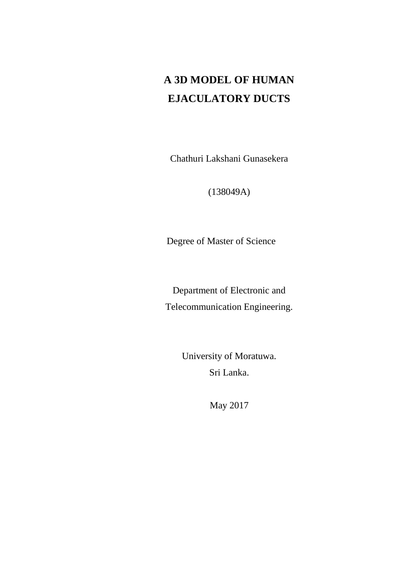# **A 3D MODEL OF HUMAN EJACULATORY DUCTS**

Chathuri Lakshani Gunasekera

(138049A)

Degree of Master of Science

Department of Electronic and Telecommunication Engineering.

> University of Moratuwa. Sri Lanka.

> > May 2017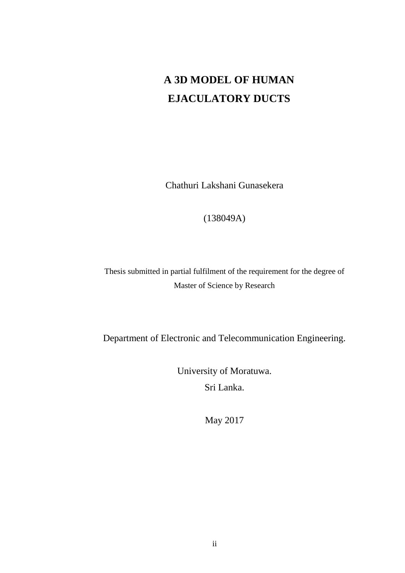# **A 3D MODEL OF HUMAN EJACULATORY DUCTS**

Chathuri Lakshani Gunasekera

#### (138049A)

Thesis submitted in partial fulfilment of the requirement for the degree of Master of Science by Research

Department of Electronic and Telecommunication Engineering.

University of Moratuwa. Sri Lanka.

May 2017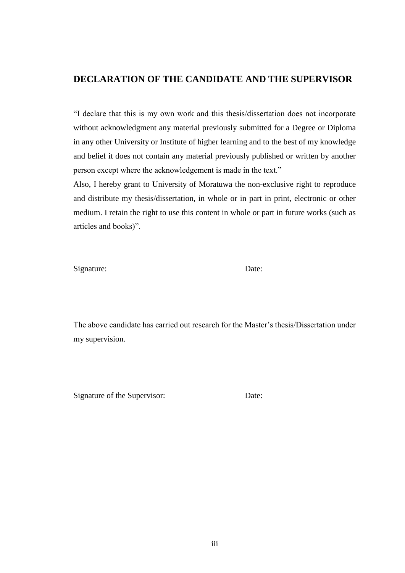#### <span id="page-2-0"></span>**DECLARATION OF THE CANDIDATE AND THE SUPERVISOR**

"I declare that this is my own work and this thesis/dissertation does not incorporate without acknowledgment any material previously submitted for a Degree or Diploma in any other University or Institute of higher learning and to the best of my knowledge and belief it does not contain any material previously published or written by another person except where the acknowledgement is made in the text."

Also, I hereby grant to University of Moratuwa the non-exclusive right to reproduce and distribute my thesis/dissertation, in whole or in part in print, electronic or other medium. I retain the right to use this content in whole or part in future works (such as articles and books)".

Signature: Date:

The above candidate has carried out research for the Master's thesis/Dissertation under my supervision.

Signature of the Supervisor: Date: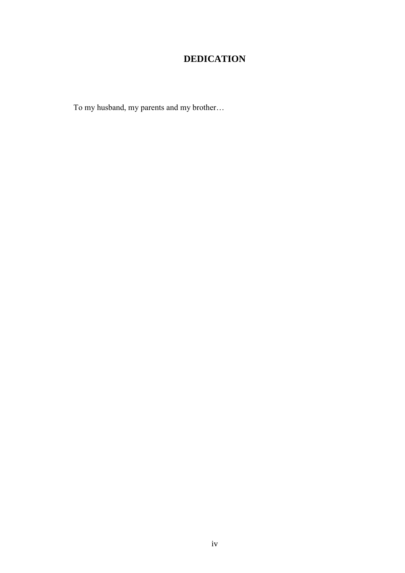# **DEDICATION**

<span id="page-3-0"></span>To my husband, my parents and my brother...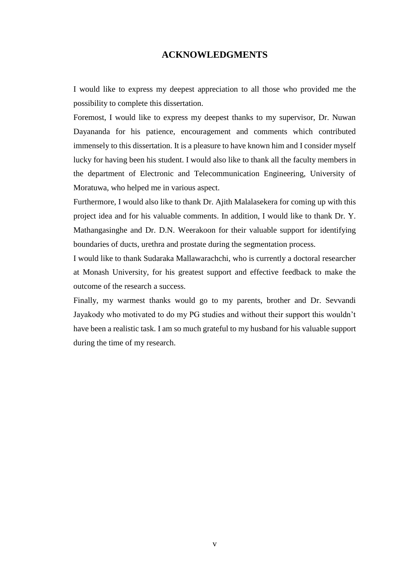#### **ACKNOWLEDGMENTS**

<span id="page-4-0"></span>I would like to express my deepest appreciation to all those who provided me the possibility to complete this dissertation.

Foremost, I would like to express my deepest thanks to my supervisor, Dr. Nuwan Dayananda for his patience, encouragement and comments which contributed immensely to this dissertation. It is a pleasure to have known him and I consider myself lucky for having been his student. I would also like to thank all the faculty members in the department of Electronic and Telecommunication Engineering, University of Moratuwa, who helped me in various aspect.

Furthermore, I would also like to thank Dr. Ajith Malalasekera for coming up with this project idea and for his valuable comments. In addition, I would like to thank Dr. Y. Mathangasinghe and Dr. D.N. Weerakoon for their valuable support for identifying boundaries of ducts, urethra and prostate during the segmentation process.

I would like to thank Sudaraka Mallawarachchi, who is currently a doctoral researcher at Monash University, for his greatest support and effective feedback to make the outcome of the research a success.

Finally, my warmest thanks would go to my parents, brother and Dr. Sevvandi Jayakody who motivated to do my PG studies and without their support this wouldn't have been a realistic task. I am so much grateful to my husband for his valuable support during the time of my research.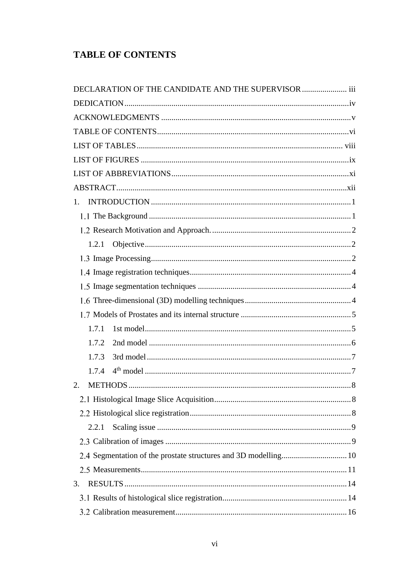## <span id="page-5-0"></span>**TABLE OF CONTENTS**

| DECLARATION OF THE CANDIDATE AND THE SUPERVISOR  iii            |  |
|-----------------------------------------------------------------|--|
|                                                                 |  |
|                                                                 |  |
|                                                                 |  |
|                                                                 |  |
|                                                                 |  |
|                                                                 |  |
|                                                                 |  |
| 1.                                                              |  |
|                                                                 |  |
|                                                                 |  |
|                                                                 |  |
|                                                                 |  |
|                                                                 |  |
|                                                                 |  |
|                                                                 |  |
|                                                                 |  |
| 1.7.1                                                           |  |
| 1.7.2                                                           |  |
| 1.7.3                                                           |  |
| 1.7.4                                                           |  |
| 2.                                                              |  |
|                                                                 |  |
|                                                                 |  |
| 2.2.1                                                           |  |
|                                                                 |  |
| 2.4 Segmentation of the prostate structures and 3D modelling 10 |  |
|                                                                 |  |
| 3.                                                              |  |
|                                                                 |  |
|                                                                 |  |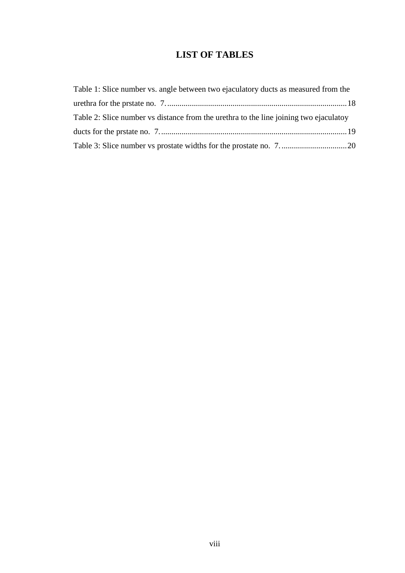### **LIST OF TABLES**

<span id="page-7-0"></span>

| Table 1: Slice number vs. angle between two ejaculatory ducts as measured from the    |  |
|---------------------------------------------------------------------------------------|--|
|                                                                                       |  |
| Table 2: Slice number vs distance from the urethra to the line joining two ejaculator |  |
|                                                                                       |  |
|                                                                                       |  |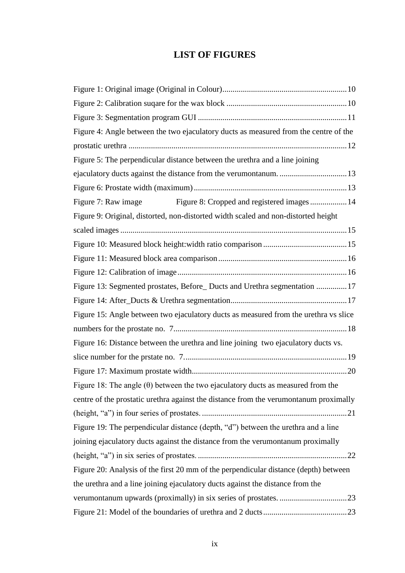### **LIST OF FIGURES**

<span id="page-8-0"></span>

| Figure 4: Angle between the two ejaculatory ducts as measured from the centre of the   |
|----------------------------------------------------------------------------------------|
|                                                                                        |
| Figure 5: The perpendicular distance between the urethra and a line joining            |
|                                                                                        |
|                                                                                        |
| Figure 8: Cropped and registered images  14<br>Figure 7: Raw image                     |
| Figure 9: Original, distorted, non-distorted width scaled and non-distorted height     |
|                                                                                        |
|                                                                                        |
|                                                                                        |
|                                                                                        |
| Figure 13: Segmented prostates, Before_Ducts and Urethra segmentation 17               |
|                                                                                        |
| Figure 15: Angle between two ejaculatory ducts as measured from the urethra vs slice   |
|                                                                                        |
| Figure 16: Distance between the urethra and line joining two ejaculatory ducts vs.     |
|                                                                                        |
|                                                                                        |
| Figure 18: The angle $(\theta)$ between the two ejaculatory ducts as measured from the |
| centre of the prostatic urethra against the distance from the verumontanum proximally  |
|                                                                                        |
| Figure 19: The perpendicular distance (depth, "d") between the urethra and a line      |
| joining ejaculatory ducts against the distance from the verumontanum proximally        |
|                                                                                        |
| Figure 20: Analysis of the first 20 mm of the perpendicular distance (depth) between   |
| the urethra and a line joining ejaculatory ducts against the distance from the         |
|                                                                                        |
|                                                                                        |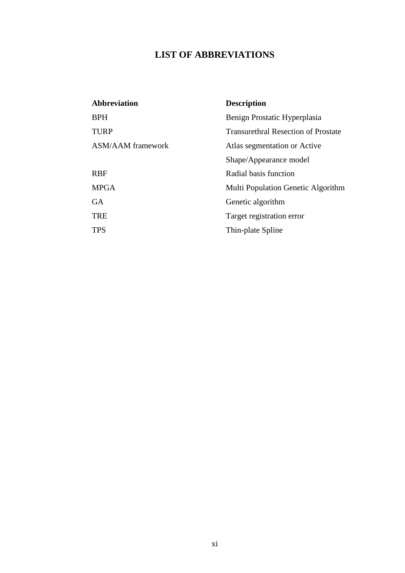## **LIST OF ABBREVIATIONS**

<span id="page-10-0"></span>

| <b>Abbreviation</b>      | <b>Description</b>                         |
|--------------------------|--------------------------------------------|
| <b>BPH</b>               | Benign Prostatic Hyperplasia               |
| <b>TURP</b>              | <b>Transurethral Resection of Prostate</b> |
| <b>ASM/AAM</b> framework | Atlas segmentation or Active               |
|                          | Shape/Appearance model                     |
| <b>RBF</b>               | Radial basis function                      |
| <b>MPGA</b>              | Multi Population Genetic Algorithm         |
| <b>GA</b>                | Genetic algorithm                          |
| <b>TRE</b>               | Target registration error                  |
| <b>TPS</b>               | Thin-plate Spline                          |